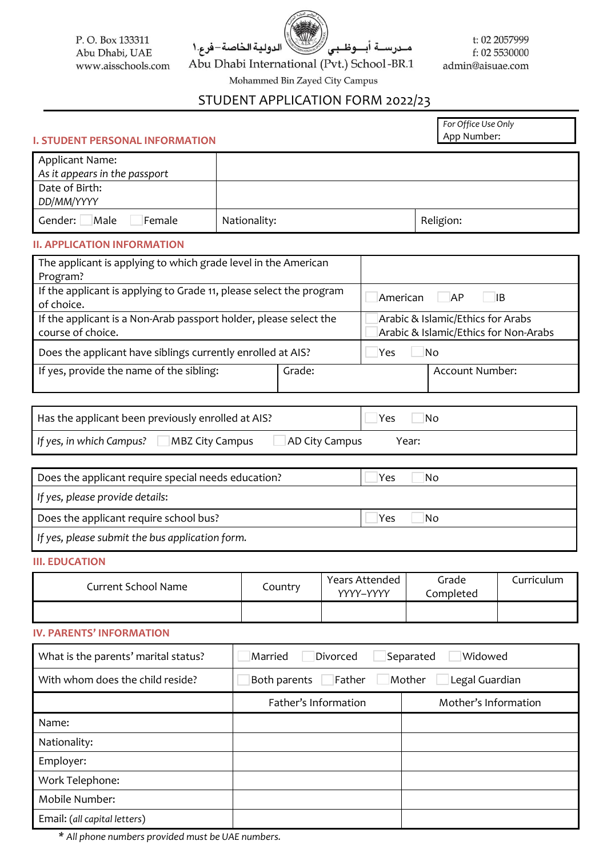P.O. Box 133311 Abu Dhabi, UAE www.aisschools.com

Abu Dhabi International (Pvt.) School-BR.1

الدولية الخاصة-فرع.١

t: 02 2057999 f: 02 5530000 admin@aisuae.com

Mohammed Bin Zayed City Campus

# STUDENT APPLICATION FORM 2022/23

مـدرســة أبـــوظـبى

*For Office Use Only* App Number:

### **I. STUDENT PERSONAL INFORMATION**

| <b>Applicant Name:</b>           |              |           |
|----------------------------------|--------------|-----------|
| As it appears in the passport    |              |           |
| Date of Birth:                   |              |           |
| DD/MM/YYYY                       |              |           |
| Male<br>Gender:<br><b>Female</b> | Nationality: | Religion: |

#### **II. APPLICATION INFORMATION**

| The applicant is applying to which grade level in the American                    |                                       |  |                 |
|-----------------------------------------------------------------------------------|---------------------------------------|--|-----------------|
| Program?                                                                          |                                       |  |                 |
| If the applicant is applying to Grade 11, please select the program<br>of choice. | American<br>AP<br>-lib                |  |                 |
| If the applicant is a Non-Arab passport holder, please select the                 | Arabic & Islamic/Ethics for Arabs     |  |                 |
| course of choice.                                                                 | Arabic & Islamic/Ethics for Non-Arabs |  |                 |
| Does the applicant have siblings currently enrolled at AIS?                       | Yes<br>No                             |  |                 |
| If yes, provide the name of the sibling:                                          | Grade:                                |  | Account Number: |
|                                                                                   |                                       |  |                 |

| Has the applicant been previously enrolled at AIS? | Yes<br>'NG     |       |
|----------------------------------------------------|----------------|-------|
| If yes, in which Campus?<br><b>MBZ City Campus</b> | AD City Campus | Year: |

| Does the applicant require special needs education? | Yes<br>Nο |
|-----------------------------------------------------|-----------|
| If yes, please provide details:                     |           |
| Does the applicant require school bus?              | Yes<br>Nο |
| If yes, please submit the bus application form.     |           |

#### **III. EDUCATION**

| Current School Name | Country | Years Attended<br>YYYY-YYYY | Grade<br>Completed | Curriculum |
|---------------------|---------|-----------------------------|--------------------|------------|
|                     |         |                             |                    |            |

#### **IV. PARENTS' INFORMATION**

| What is the parents' marital status? | Divorced<br>Separated<br>Widowed<br>Married        |                      |  |  |  |
|--------------------------------------|----------------------------------------------------|----------------------|--|--|--|
| With whom does the child reside?     | Mother<br>Legal Guardian<br>Father<br>Both parents |                      |  |  |  |
|                                      | Father's Information                               | Mother's Information |  |  |  |
| Name:                                |                                                    |                      |  |  |  |
| Nationality:                         |                                                    |                      |  |  |  |
| Employer:                            |                                                    |                      |  |  |  |
| Work Telephone:                      |                                                    |                      |  |  |  |
| Mobile Number:                       |                                                    |                      |  |  |  |
| Email: (all capital letters)         |                                                    |                      |  |  |  |

*\* All phone numbers provided must be UAE numbers.*